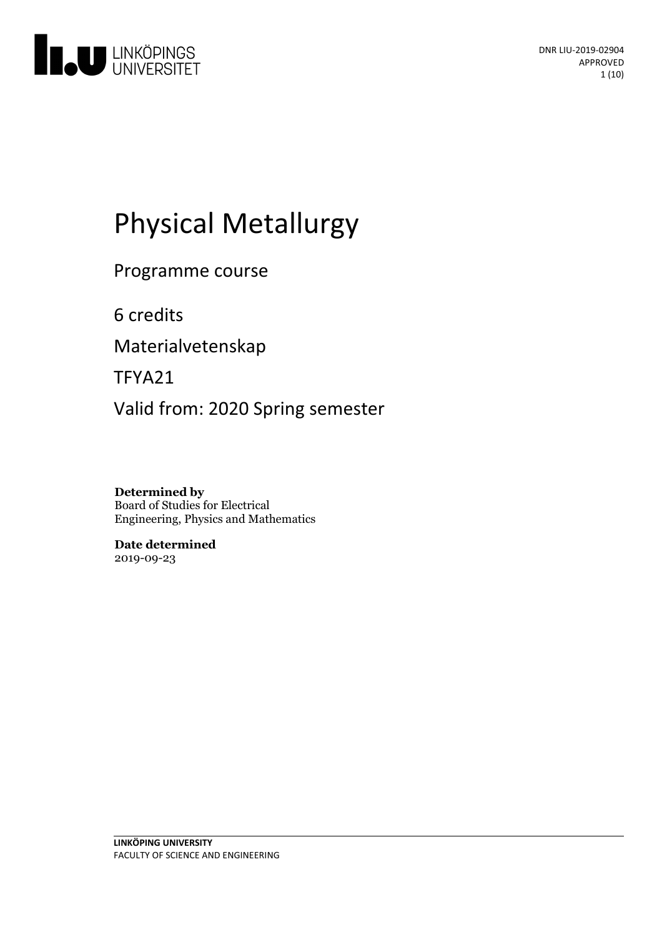

# Physical Metallurgy

Programme course

6 credits

Materialvetenskap

TFYA21

Valid from: 2020 Spring semester

**Determined by** Board of Studies for Electrical Engineering, Physics and Mathematics

**Date determined** 2019-09-23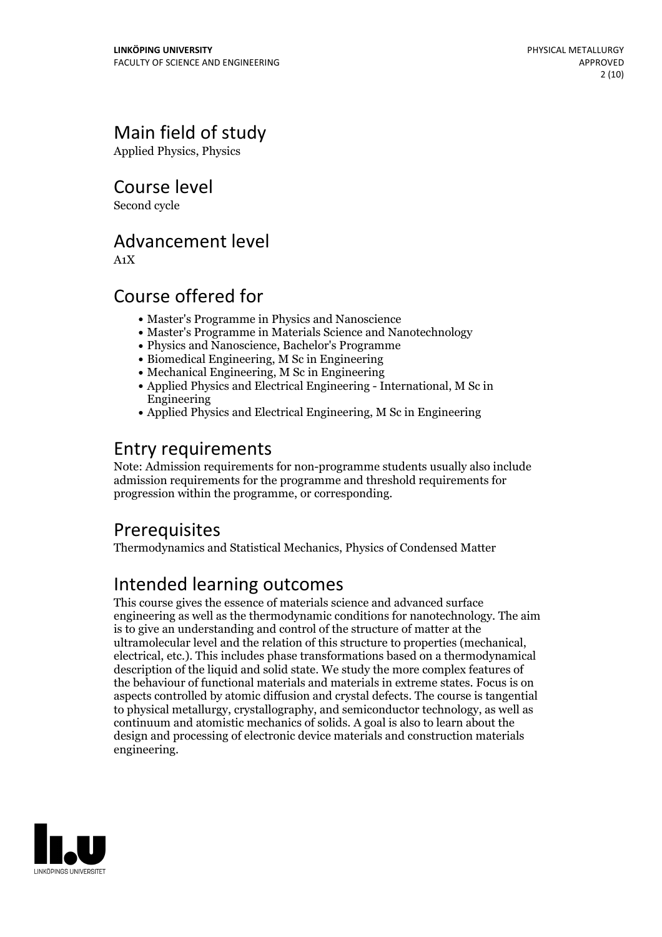# Main field of study

Applied Physics, Physics

Course level

Second cycle

# Advancement level

A1X

# Course offered for

- Master's Programme in Physics and Nanoscience
- Master's Programme in Materials Science and Nanotechnology
- Physics and Nanoscience, Bachelor's Programme
- Biomedical Engineering, M Sc in Engineering
- Mechanical Engineering, M Sc in Engineering
- Applied Physics and Electrical Engineering International, M Sc in Engineering
- Applied Physics and Electrical Engineering, M Sc in Engineering

# Entry requirements

Note: Admission requirements for non-programme students usually also include admission requirements for the programme and threshold requirements for progression within the programme, or corresponding.

## **Prerequisites**

Thermodynamics and Statistical Mechanics, Physics of Condensed Matter

# Intended learning outcomes

This course gives the essence of materials science and advanced surface engineering as well as the thermodynamic conditions for nanotechnology. The aim is to give an understanding and control of the structure of matter at the ultramolecular level and the relation of this structure to properties (mechanical, electrical, etc.). This includes phase transformations based on <sup>a</sup> thermodynamical description of the liquid and solid state. We study the more complex features of the behaviour of functional materials and materials in extreme states. Focus is on aspects controlled by atomic diffusion and crystal defects. The course is tangential to physical metallurgy, crystallography, and semiconductor technology, as well as continuum and atomistic mechanics of solids. A goal is also to learn about the design and processing of electronic device materials and construction materials engineering.

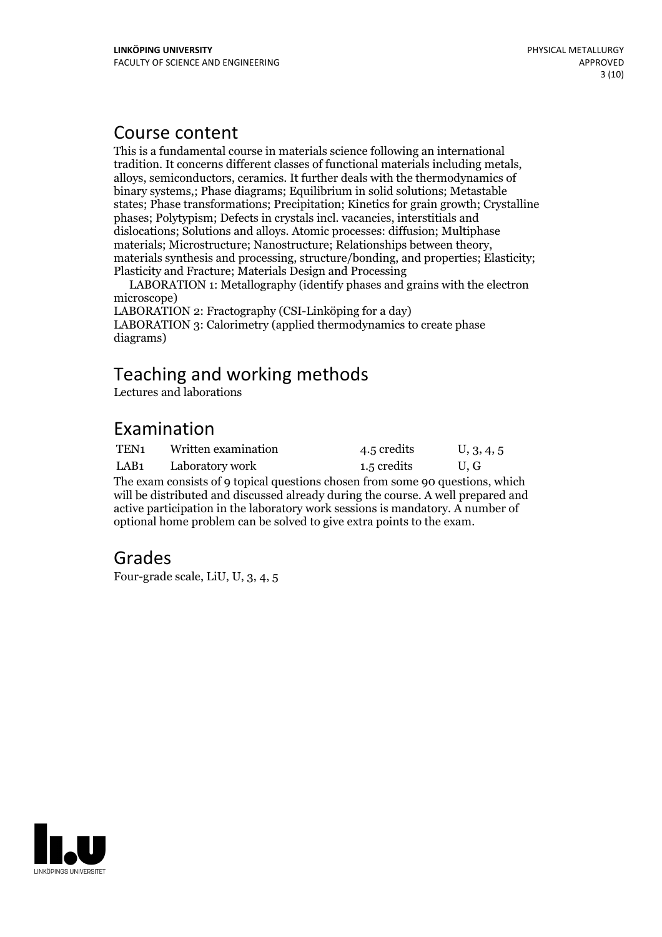### Course content

This is a fundamental course in materials science following an international tradition. It concerns different classes of functional materials including metals, alloys, semiconductors, ceramics. It further deals with the thermodynamics of binary systems,; Phase diagrams; Equilibrium in solid solutions; Metastable states; Phase transformations; Precipitation; Kinetics for grain growth; Crystalline phases; Polytypism; Defects in crystals incl. vacancies, interstitials and dislocations; Solutions and alloys. Atomic processes: diffusion; Multiphase materials synthesis and processing, structure/bonding, and properties; Elasticity; Plasticity and Fracture; Materials Design and Processing

LABORATION 1: Metallography (identify phases and grains with the electron microscope)

LABORATION 2: Fractography (CSI-Linköping for a day) LABORATION 3: Calorimetry (applied thermodynamics to create phase diagrams)

# Teaching and working methods

Lectures and laborations

# Examination

| TEN <sub>1</sub><br>Written examination | 4.5 credits | U, 3, 4, 5 |
|-----------------------------------------|-------------|------------|
|-----------------------------------------|-------------|------------|

LAB1 Laboratory work 1.5 credits U, G

The exam consists of 9 topical questions chosen from some 90 questions, which will be distributed and discussed already during the course. A well prepared and active participation in the laboratory work sessions is mandatory. A number of optional home problem can be solved to give extra points to the exam.

## Grades

Four-grade scale, LiU, U, 3, 4, 5

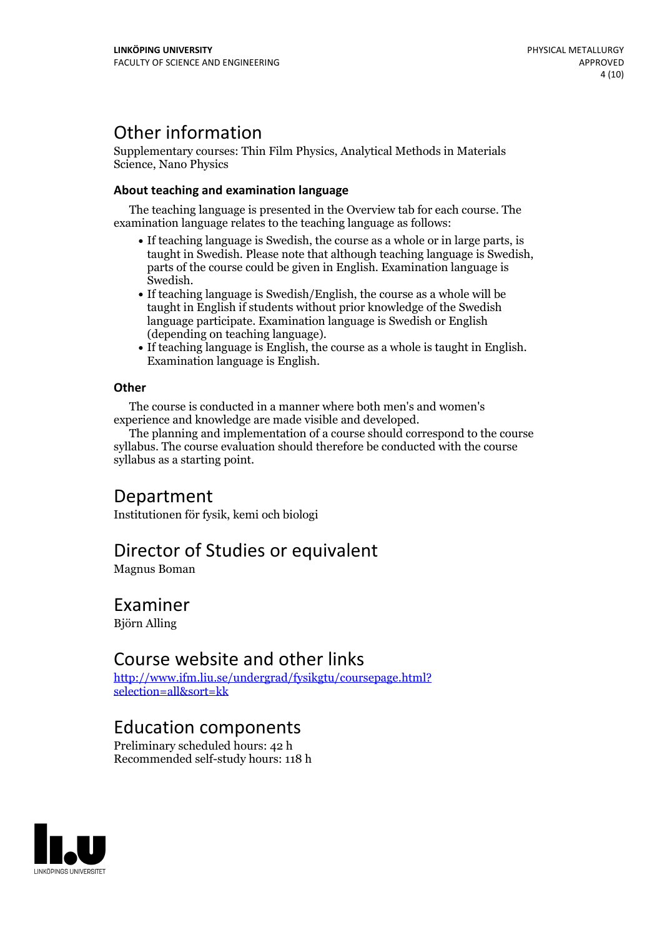# Other information

Supplementary courses: Thin Film Physics, Analytical Methods in Materials Science, Nano Physics

#### **About teaching and examination language**

The teaching language is presented in the Overview tab for each course. The examination language relates to the teaching language as follows:

- If teaching language is Swedish, the course as a whole or in large parts, is taught in Swedish. Please note that although teaching language is Swedish, parts of the course could be given in English. Examination language is Swedish.<br>• If teaching language is Swedish/English, the course as a whole will be
- taught in English if students without prior knowledge of the Swedish language participate. Examination language is Swedish or English
- $\bullet$  If teaching language is English, the course as a whole is taught in English. Examination language is English.

#### **Other**

The course is conducted in a manner where both men's and women's

The planning and implementation of a course should correspond to the course syllabus. The course evaluation should therefore be conducted with the course syllabus as a starting point.

### Department

Institutionen för fysik, kemi och biologi

### Director of Studies or equivalent

Magnus Boman

### Examiner

Björn Alling

### Course website and other links

[http://www.ifm.liu.se/undergrad/fysikgtu/coursepage.html?](http://www.ifm.liu.se/undergrad/fysikgtu/coursepage.html?selection=all&sort=kk) selection=all&sort=kk

### Education components

Preliminary scheduled hours: 42 h Recommended self-study hours: 118 h

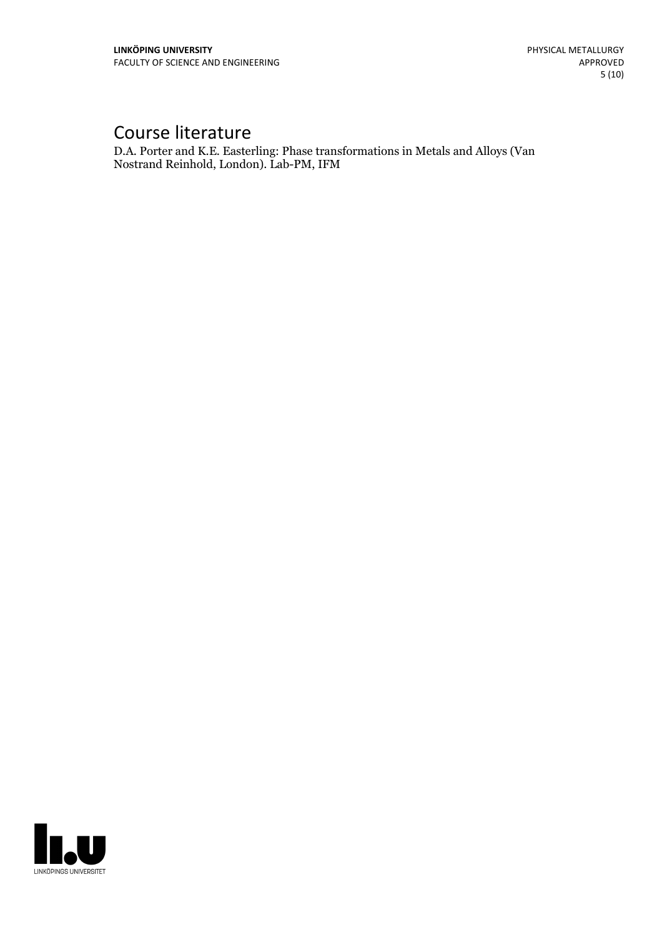# Course literature

D.A. Porter and K.E. Easterling: Phase transformations in Metals and Alloys (Van Nostrand Reinhold, London). Lab-PM, IFM

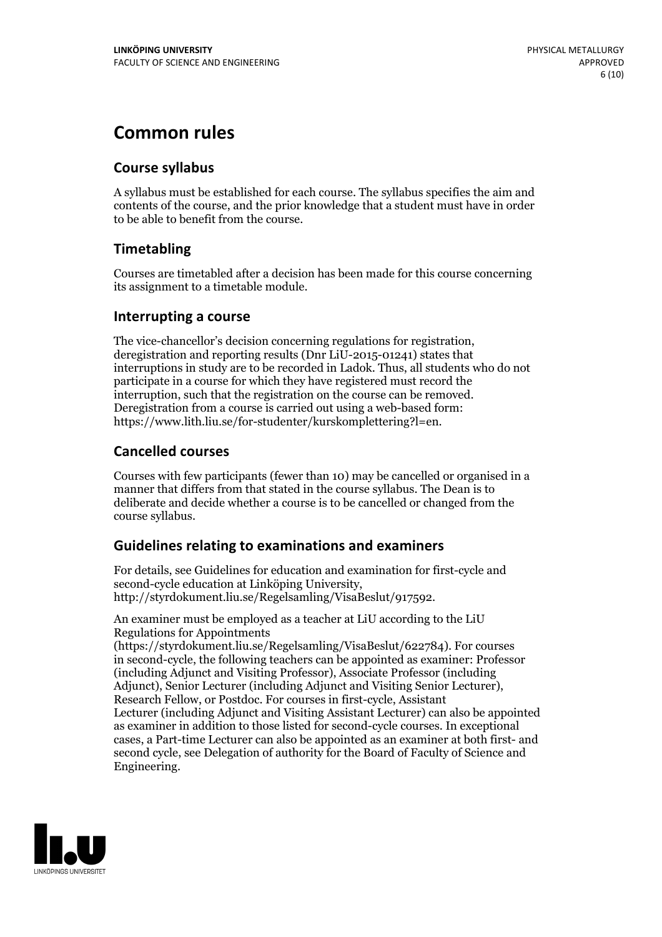# **Common rules**

#### **Course syllabus**

A syllabus must be established for each course. The syllabus specifies the aim and contents of the course, and the prior knowledge that a student must have in order to be able to benefit from the course.

### **Timetabling**

Courses are timetabled after a decision has been made for this course concerning its assignment to a timetable module.

#### **Interrupting a course**

The vice-chancellor's decision concerning regulations for registration, deregistration and reporting results (Dnr LiU-2015-01241) states that interruptions in study are to be recorded in Ladok. Thus, all students who do not participate in a course for which they have registered must record the interruption, such that the registration on the course can be removed. Deregistration from <sup>a</sup> course is carried outusing <sup>a</sup> web-based form: https://www.lith.liu.se/for-studenter/kurskomplettering?l=en.

### **Cancelled courses**

Courses with few participants (fewer than 10) may be cancelled or organised in a manner that differs from that stated in the course syllabus. The Dean is to deliberate and decide whether a course is to be cancelled or changed from the course syllabus.

### **Guidelines relatingto examinations and examiners**

For details, see Guidelines for education and examination for first-cycle and second-cycle education at Linköping University, http://styrdokument.liu.se/Regelsamling/VisaBeslut/917592.

An examiner must be employed as a teacher at LiU according to the LiU Regulations for Appointments

(https://styrdokument.liu.se/Regelsamling/VisaBeslut/622784). For courses in second-cycle, the following teachers can be appointed as examiner: Professor (including Adjunct and Visiting Professor), Associate Professor (including Adjunct), Senior Lecturer (including Adjunct and Visiting Senior Lecturer), Research Fellow, or Postdoc. For courses in first-cycle, Assistant Lecturer (including Adjunct and Visiting Assistant Lecturer) can also be appointed as examiner in addition to those listed for second-cycle courses. In exceptional cases, a Part-time Lecturer can also be appointed as an examiner at both first- and second cycle, see Delegation of authority for the Board of Faculty of Science and Engineering.

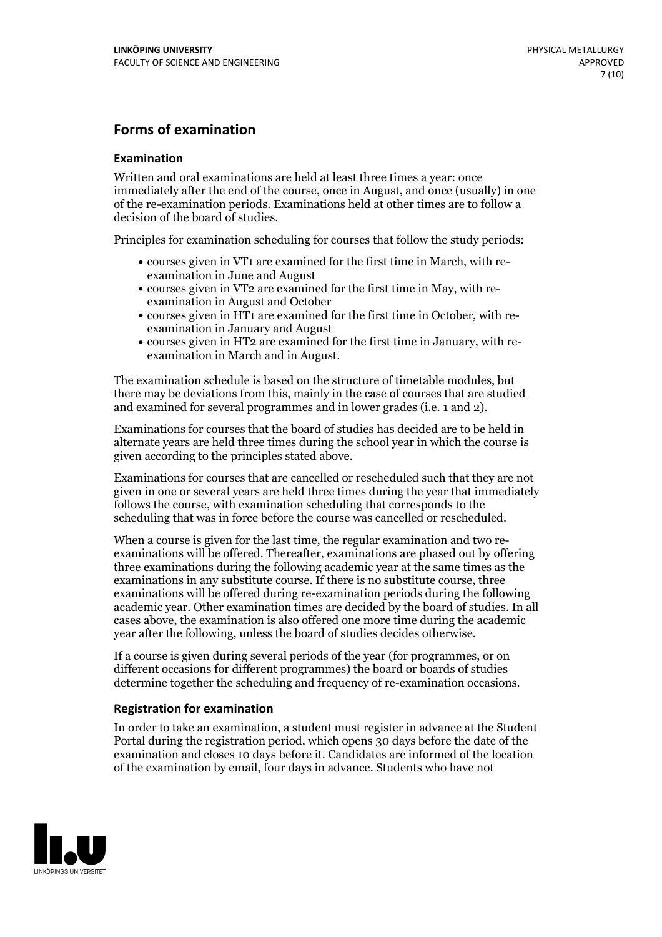#### **Forms of examination**

#### **Examination**

Written and oral examinations are held at least three times a year: once immediately after the end of the course, once in August, and once (usually) in one of the re-examination periods. Examinations held at other times are to follow a decision of the board of studies.

Principles for examination scheduling for courses that follow the study periods:

- courses given in VT1 are examined for the first time in March, with re-examination in June and August
- courses given in VT2 are examined for the first time in May, with re-examination in August and October
- courses given in HT1 are examined for the first time in October, with re-examination in January and August
- courses given in HT2 are examined for the first time in January, with re-examination in March and in August.

The examination schedule is based on the structure of timetable modules, but there may be deviations from this, mainly in the case of courses that are studied and examined for several programmes and in lower grades (i.e. 1 and 2).

Examinations for courses that the board of studies has decided are to be held in alternate years are held three times during the school year in which the course is given according to the principles stated above.

Examinations for courses that are cancelled orrescheduled such that they are not given in one or several years are held three times during the year that immediately follows the course, with examination scheduling that corresponds to the scheduling that was in force before the course was cancelled or rescheduled.

When a course is given for the last time, the regular examination and two re-<br>examinations will be offered. Thereafter, examinations are phased out by offering three examinations during the following academic year at the same times as the examinations in any substitute course. If there is no substitute course, three examinations will be offered during re-examination periods during the following academic year. Other examination times are decided by the board of studies. In all cases above, the examination is also offered one more time during the academic year after the following, unless the board of studies decides otherwise.

If a course is given during several periods of the year (for programmes, or on different occasions for different programmes) the board or boards of studies determine together the scheduling and frequency of re-examination occasions.

#### **Registration for examination**

In order to take an examination, a student must register in advance at the Student Portal during the registration period, which opens 30 days before the date of the examination and closes 10 days before it. Candidates are informed of the location of the examination by email, four days in advance. Students who have not

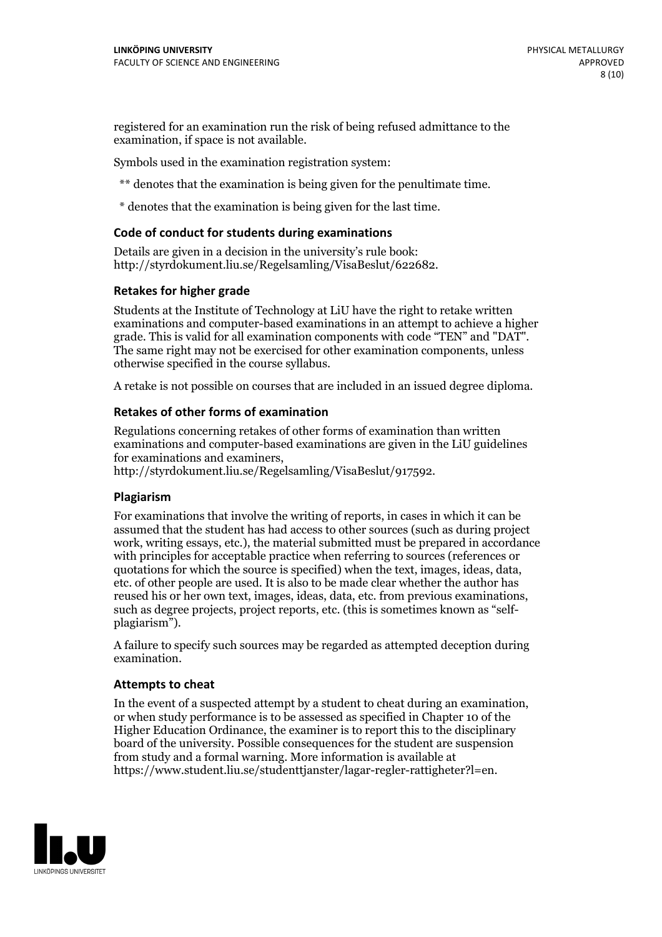registered for an examination run the risk of being refused admittance to the examination, if space is not available.

Symbols used in the examination registration system:

\*\* denotes that the examination is being given for the penultimate time.

\* denotes that the examination is being given for the last time.

#### **Code of conduct for students during examinations**

Details are given in a decision in the university's rule book: http://styrdokument.liu.se/Regelsamling/VisaBeslut/622682.

#### **Retakes for higher grade**

Students at the Institute of Technology at LiU have the right to retake written examinations and computer-based examinations in an attempt to achieve a higher grade. This is valid for all examination components with code "TEN" and "DAT". The same right may not be exercised for other examination components, unless otherwise specified in the course syllabus.

A retake is not possible on courses that are included in an issued degree diploma.

#### **Retakes of other forms of examination**

Regulations concerning retakes of other forms of examination than written examinations and computer-based examinations are given in the LiU guidelines

http://styrdokument.liu.se/Regelsamling/VisaBeslut/917592.

#### **Plagiarism**

For examinations that involve the writing of reports, in cases in which it can be assumed that the student has had access to other sources (such as during project work, writing essays, etc.), the material submitted must be prepared in accordance with principles for acceptable practice when referring to sources (references or quotations for which the source is specified) when the text, images, ideas, data,  $\vec{e}$  etc. of other people are used. It is also to be made clear whether the author has reused his or her own text, images, ideas, data, etc. from previous examinations, such as degree projects, project reports, etc. (this is sometimes known as "self- plagiarism").

A failure to specify such sources may be regarded as attempted deception during examination.

#### **Attempts to cheat**

In the event of <sup>a</sup> suspected attempt by <sup>a</sup> student to cheat during an examination, or when study performance is to be assessed as specified in Chapter <sup>10</sup> of the Higher Education Ordinance, the examiner is to report this to the disciplinary board of the university. Possible consequences for the student are suspension from study and a formal warning. More information is available at https://www.student.liu.se/studenttjanster/lagar-regler-rattigheter?l=en.

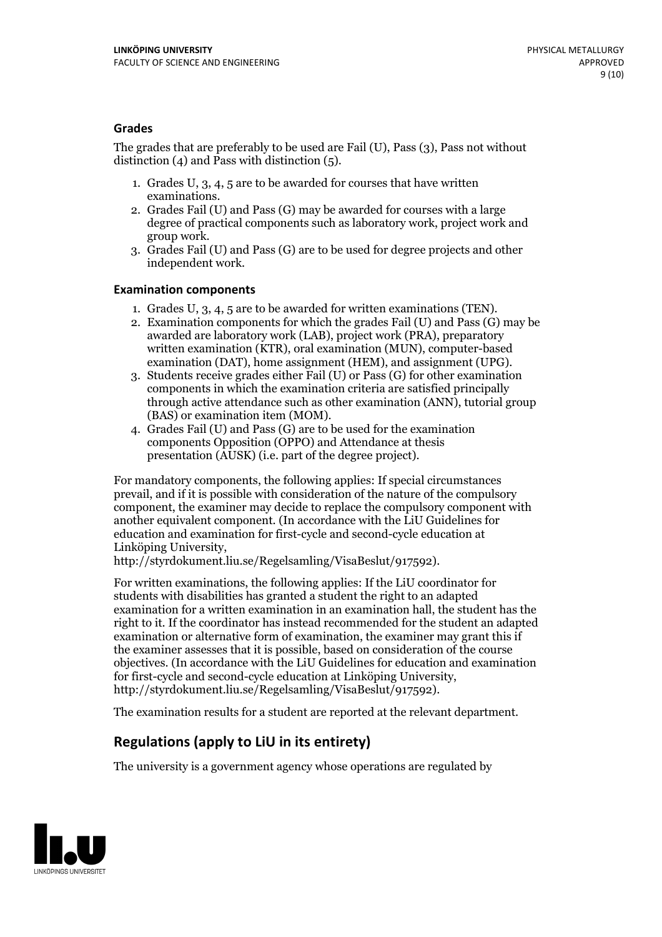#### **Grades**

The grades that are preferably to be used are Fail (U), Pass (3), Pass not without distinction  $(4)$  and Pass with distinction  $(5)$ .

- 1. Grades U, 3, 4, 5 are to be awarded for courses that have written
- examinations. 2. Grades Fail (U) and Pass (G) may be awarded for courses with <sup>a</sup> large degree of practical components such as laboratory work, project work and group work. 3. Grades Fail (U) and Pass (G) are to be used for degree projects and other
- independent work.

#### **Examination components**

- 
- 1. Grades U, 3, 4, <sup>5</sup> are to be awarded for written examinations (TEN). 2. Examination components for which the grades Fail (U) and Pass (G) may be awarded are laboratory work (LAB), project work (PRA), preparatory written examination (KTR), oral examination (MUN), computer-based
- examination (DAT), home assignment (HEM), and assignment (UPG). 3. Students receive grades either Fail (U) or Pass (G) for other examination components in which the examination criteria are satisfied principally through active attendance such as other examination (ANN), tutorial group (BAS) or examination item (MOM). 4. Grades Fail (U) and Pass (G) are to be used for the examination
- components Opposition (OPPO) and Attendance at thesis presentation (AUSK) (i.e. part of the degree project).

For mandatory components, the following applies: If special circumstances prevail, and if it is possible with consideration of the nature of the compulsory component, the examiner may decide to replace the compulsory component with another equivalent component. (In accordance with the LiU Guidelines for education and examination for first-cycle and second-cycle education at Linköping University, http://styrdokument.liu.se/Regelsamling/VisaBeslut/917592).

For written examinations, the following applies: If the LiU coordinator for students with disabilities has granted a student the right to an adapted examination for a written examination in an examination hall, the student has the right to it. If the coordinator has instead recommended for the student an adapted examination or alternative form of examination, the examiner may grant this if the examiner assesses that it is possible, based on consideration of the course objectives. (In accordance with the LiU Guidelines for education and examination for first-cycle and second-cycle education at Linköping University, http://styrdokument.liu.se/Regelsamling/VisaBeslut/917592).

The examination results for a student are reported at the relevant department.

### **Regulations (applyto LiU in its entirety)**

The university is a government agency whose operations are regulated by